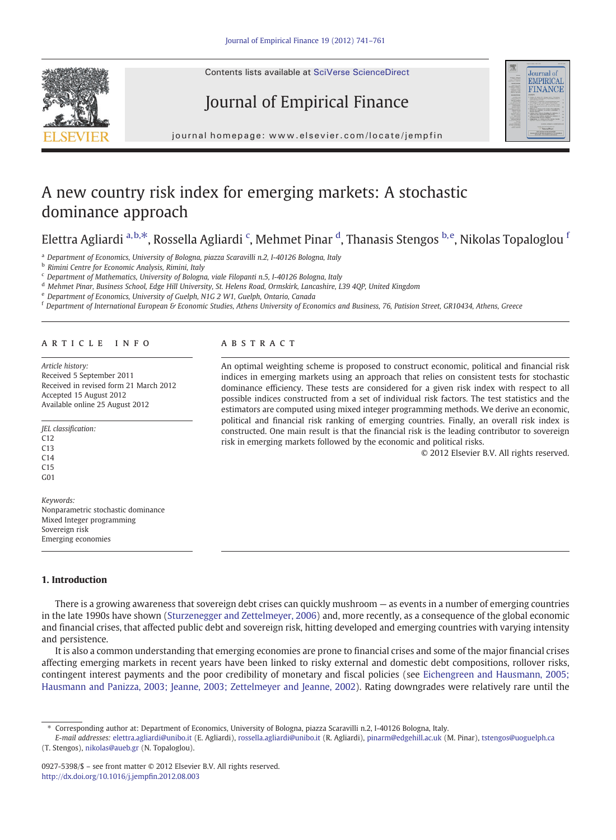Contents lists available at SciVerse ScienceDirect

## Journal of Empirical Finance



journal homepage: www.elsevier.com/locate/jempfin journal homepage: www.elsevier.com/locate/jempinne/locate/jempinne/locate/jempinne/locate/jempinne/locate/jempinne/locate/jempinne/locate/jempinne/locate/jempinne/locate/jempinne/locate/jempinne/locate/jempinne/locate/jem

## A new country risk index for emerging markets: A stochastic dominance approach

## Elettra Agliardi a,b,⁎, Rossella Agliardi <sup>c</sup> , Mehmet Pinar <sup>d</sup> , Thanasis Stengos b,e, Nikolas Topaloglou <sup>f</sup>

<sup>a</sup> Department of Economics, University of Bologna, piazza Scaravilli n.2, I-40126 Bologna, Italy

**b** Rimini Centre for Economic Analysis, Rimini, Italy

<sup>c</sup> Department of Mathematics, University of Bologna, viale Filopanti n.5, I-40126 Bologna, Italy

<sup>d</sup> Mehmet Pinar, Business School, Edge Hill University, St. Helens Road, Ormskirk, Lancashire, L39 4QP, United Kingdom

<sup>e</sup> Department of Economics, University of Guelph, N1G 2 W1, Guelph, Ontario, Canada

<sup>f</sup> Department of International European & Economic Studies, Athens University of Economics and Business, 76, Patision Street, GR10434, Athens, Greece

#### article info abstract

Article history: Received 5 September 2011 Received in revised form 21 March 2012 Accepted 15 August 2012 Available online 25 August 2012

JEL classification: C12  $C13$  $C14$ C15 G01 Keywords:

Nonparametric stochastic dominance Mixed Integer programming Sovereign risk Emerging economies

### 1. Introduction

There is a growing awareness that sovereign debt crises can quickly mushroom — as events in a number of emerging countries in the late 1990s have shown [\(Sturzenegger and Zettelmeyer, 2006\)](#page--1-0) and, more recently, as a consequence of the global economic and financial crises, that affected public debt and sovereign risk, hitting developed and emerging countries with varying intensity and persistence.

It is also a common understanding that emerging economies are prone to financial crises and some of the major financial crises affecting emerging markets in recent years have been linked to risky external and domestic debt compositions, rollover risks, contingent interest payments and the poor credibility of monetary and fiscal policies (see [Eichengreen and Hausmann, 2005;](#page--1-0) [Hausmann and Panizza, 2003; Jeanne, 2003; Zettelmeyer and Jeanne, 2002](#page--1-0)). Rating downgrades were relatively rare until the

E-mail addresses: [elettra.agliardi@unibo.it](mailto:elettra.agliardi@unibo.it) (E. Agliardi), [rossella.agliardi@unibo.it](mailto:rossella.agliardi@unibo.it) (R. Agliardi), [pinarm@edgehill.ac.uk](mailto:pinarm@edgehill.ac.uk) (M. Pinar), [tstengos@uoguelph.ca](mailto:tstengos@uoguelph.ca) (T. Stengos), [nikolas@aueb.gr](mailto:nikolas@aueb.gr) (N. Topaloglou).

An optimal weighting scheme is proposed to construct economic, political and financial risk indices in emerging markets using an approach that relies on consistent tests for stochastic dominance efficiency. These tests are considered for a given risk index with respect to all possible indices constructed from a set of individual risk factors. The test statistics and the estimators are computed using mixed integer programming methods. We derive an economic, political and financial risk ranking of emerging countries. Finally, an overall risk index is constructed. One main result is that the financial risk is the leading contributor to sovereign risk in emerging markets followed by the economic and political risks.

© 2012 Elsevier B.V. All rights reserved.



<sup>⁎</sup> Corresponding author at: Department of Economics, University of Bologna, piazza Scaravilli n.2, I-40126 Bologna, Italy.

<sup>0927-5398/\$</sup> – see front matter © 2012 Elsevier B.V. All rights reserved. [http://dx.doi.org/10.1016/j.jemp](http://dx.doi.org/10.1016/j.jempfin.2012.08.003)fin.2012.08.003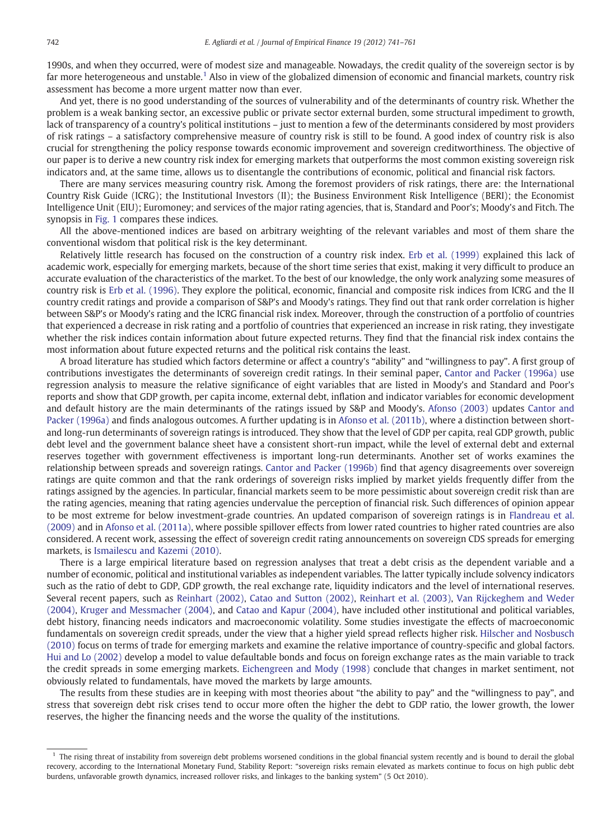1990s, and when they occurred, were of modest size and manageable. Nowadays, the credit quality of the sovereign sector is by far more heterogeneous and unstable.<sup>1</sup> Also in view of the globalized dimension of economic and financial markets, country risk assessment has become a more urgent matter now than ever.

And yet, there is no good understanding of the sources of vulnerability and of the determinants of country risk. Whether the problem is a weak banking sector, an excessive public or private sector external burden, some structural impediment to growth, lack of transparency of a country's political institutions – just to mention a few of the determinants considered by most providers of risk ratings – a satisfactory comprehensive measure of country risk is still to be found. A good index of country risk is also crucial for strengthening the policy response towards economic improvement and sovereign creditworthiness. The objective of our paper is to derive a new country risk index for emerging markets that outperforms the most common existing sovereign risk indicators and, at the same time, allows us to disentangle the contributions of economic, political and financial risk factors.

There are many services measuring country risk. Among the foremost providers of risk ratings, there are: the International Country Risk Guide (ICRG); the Institutional Investors (II); the Business Environment Risk Intelligence (BERI); the Economist Intelligence Unit (EIU); Euromoney; and services of the major rating agencies, that is, Standard and Poor's; Moody's and Fitch. The synopsis in [Fig. 1](#page--1-0) compares these indices.

All the above-mentioned indices are based on arbitrary weighting of the relevant variables and most of them share the conventional wisdom that political risk is the key determinant.

Relatively little research has focused on the construction of a country risk index. [Erb et al. \(1999\)](#page--1-0) explained this lack of academic work, especially for emerging markets, because of the short time series that exist, making it very difficult to produce an accurate evaluation of the characteristics of the market. To the best of our knowledge, the only work analyzing some measures of country risk is [Erb et al. \(1996\).](#page--1-0) They explore the political, economic, financial and composite risk indices from ICRG and the II country credit ratings and provide a comparison of S&P's and Moody's ratings. They find out that rank order correlation is higher between S&P's or Moody's rating and the ICRG financial risk index. Moreover, through the construction of a portfolio of countries that experienced a decrease in risk rating and a portfolio of countries that experienced an increase in risk rating, they investigate whether the risk indices contain information about future expected returns. They find that the financial risk index contains the most information about future expected returns and the political risk contains the least.

A broad literature has studied which factors determine or affect a country's "ability" and "willingness to pay". A first group of contributions investigates the determinants of sovereign credit ratings. In their seminal paper, [Cantor and Packer \(1996a\)](#page--1-0) use regression analysis to measure the relative significance of eight variables that are listed in Moody's and Standard and Poor's reports and show that GDP growth, per capita income, external debt, inflation and indicator variables for economic development and default history are the main determinants of the ratings issued by S&P and Moody's. [Afonso \(2003\)](#page--1-0) updates [Cantor and](#page--1-0) [Packer \(1996a\)](#page--1-0) and finds analogous outcomes. A further updating is in [Afonso et al. \(2011b\),](#page--1-0) where a distinction between shortand long-run determinants of sovereign ratings is introduced. They show that the level of GDP per capita, real GDP growth, public debt level and the government balance sheet have a consistent short-run impact, while the level of external debt and external reserves together with government effectiveness is important long-run determinants. Another set of works examines the relationship between spreads and sovereign ratings. [Cantor and Packer \(1996b\)](#page--1-0) find that agency disagreements over sovereign ratings are quite common and that the rank orderings of sovereign risks implied by market yields frequently differ from the ratings assigned by the agencies. In particular, financial markets seem to be more pessimistic about sovereign credit risk than are the rating agencies, meaning that rating agencies undervalue the perception of financial risk. Such differences of opinion appear to be most extreme for below investment-grade countries. An updated comparison of sovereign ratings is in [Flandreau et al.](#page--1-0) [\(2009\)](#page--1-0) and in [Afonso et al. \(2011a\),](#page--1-0) where possible spillover effects from lower rated countries to higher rated countries are also considered. A recent work, assessing the effect of sovereign credit rating announcements on sovereign CDS spreads for emerging markets, is [Ismailescu and Kazemi \(2010\).](#page--1-0)

There is a large empirical literature based on regression analyses that treat a debt crisis as the dependent variable and a number of economic, political and institutional variables as independent variables. The latter typically include solvency indicators such as the ratio of debt to GDP, GDP growth, the real exchange rate, liquidity indicators and the level of international reserves. Several recent papers, such as [Reinhart \(2002\),](#page--1-0) [Catao and Sutton \(2002\),](#page--1-0) [Reinhart et al. \(2003\),](#page--1-0) [Van Rijckeghem and Weder](#page--1-0) [\(2004\)](#page--1-0), [Kruger and Messmacher \(2004\)](#page--1-0), and [Catao and Kapur \(2004\),](#page--1-0) have included other institutional and political variables, debt history, financing needs indicators and macroeconomic volatility. Some studies investigate the effects of macroeconomic fundamentals on sovereign credit spreads, under the view that a higher yield spread reflects higher risk. [Hilscher and Nosbusch](#page--1-0) [\(2010\)](#page--1-0) focus on terms of trade for emerging markets and examine the relative importance of country-specific and global factors. [Hui and Lo \(2002\)](#page--1-0) develop a model to value defaultable bonds and focus on foreign exchange rates as the main variable to track the credit spreads in some emerging markets. [Eichengreen and Mody \(1998\)](#page--1-0) conclude that changes in market sentiment, not obviously related to fundamentals, have moved the markets by large amounts.

The results from these studies are in keeping with most theories about "the ability to pay" and the "willingness to pay", and stress that sovereign debt risk crises tend to occur more often the higher the debt to GDP ratio, the lower growth, the lower reserves, the higher the financing needs and the worse the quality of the institutions.

 $<sup>1</sup>$  The rising threat of instability from sovereign debt problems worsened conditions in the global financial system recently and is bound to derail the global</sup> recovery, according to the International Monetary Fund, Stability Report: "sovereign risks remain elevated as markets continue to focus on high public debt burdens, unfavorable growth dynamics, increased rollover risks, and linkages to the banking system" (5 Oct 2010).